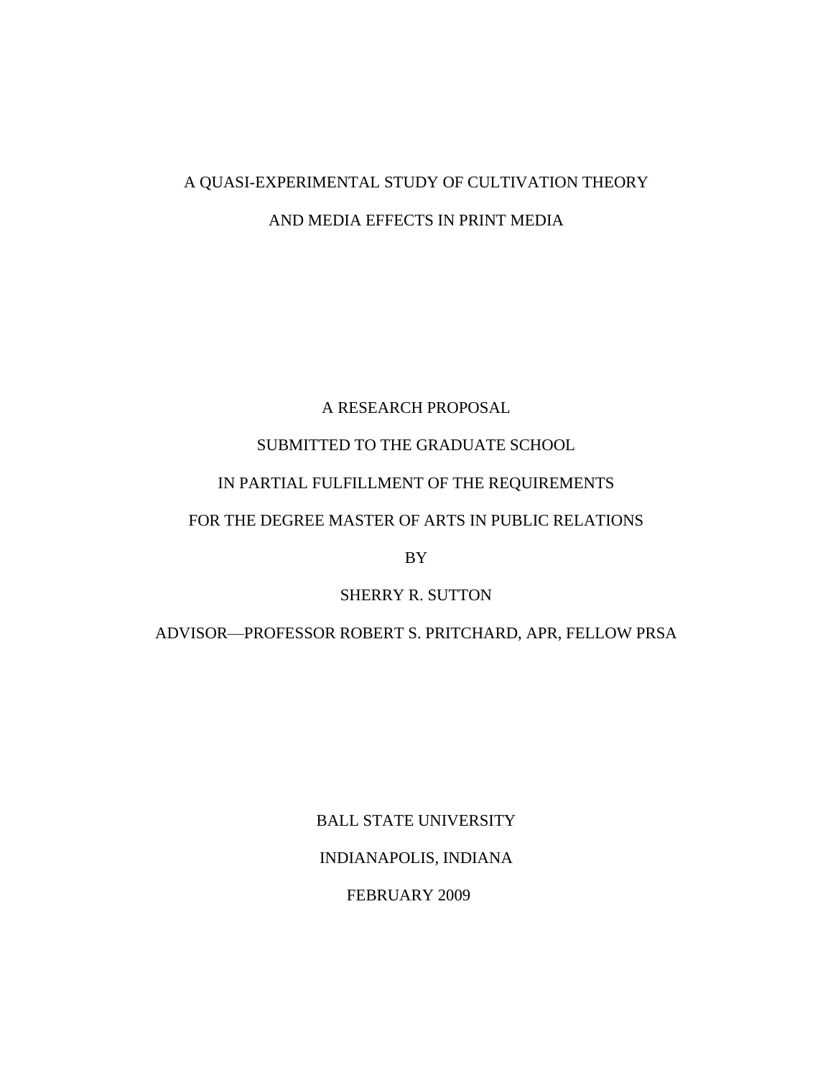# A QUASI-EXPERIMENTAL STUDY OF CULTIVATION THEORY AND MEDIA EFFECTS IN PRINT MEDIA

### A RESEARCH PROPOSAL

### SUBMITTED TO THE GRADUATE SCHOOL

### IN PARTIAL FULFILLMENT OF THE REQUIREMENTS

### FOR THE DEGREE MASTER OF ARTS IN PUBLIC RELATIONS

BY

## SHERRY R. SUTTON

ADVISOR—PROFESSOR ROBERT S. PRITCHARD, APR, FELLOW PRSA

BALL STATE UNIVERSITY INDIANAPOLIS, INDIANA

FEBRUARY 2009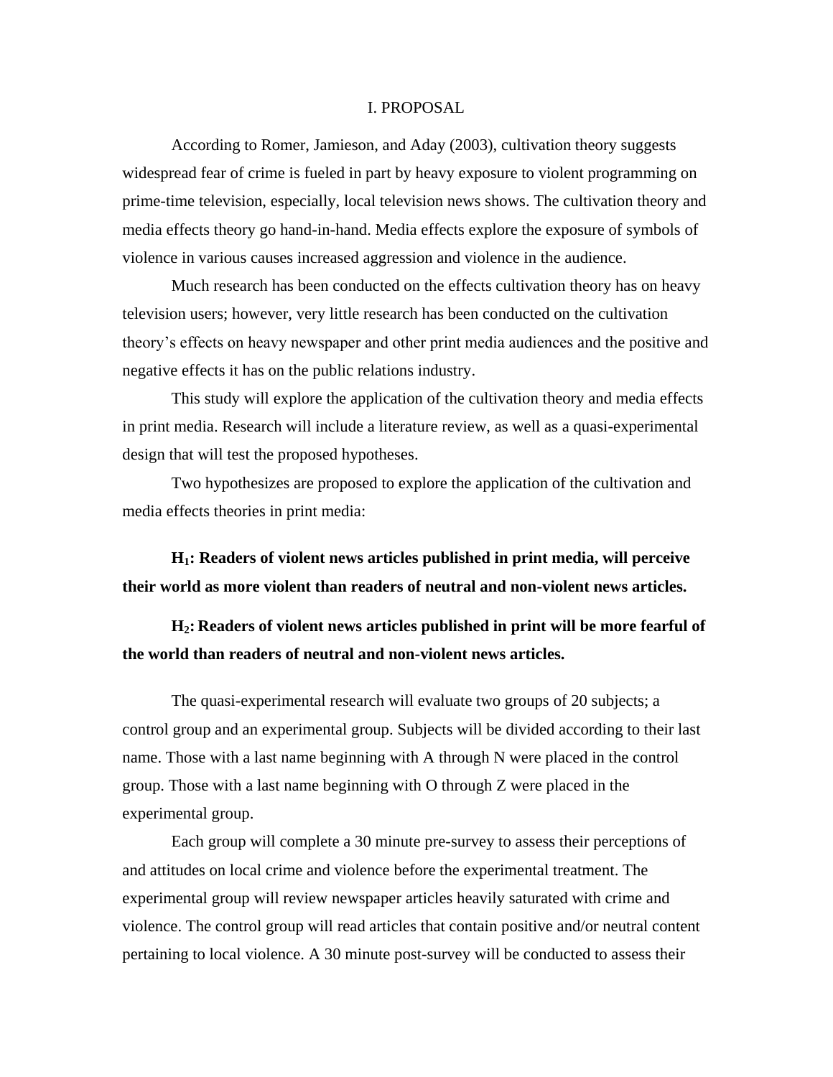#### I. PROPOSAL

According to Romer, Jamieson, and Aday (2003), cultivation theory suggests widespread fear of crime is fueled in part by heavy exposure to violent programming on prime-time television, especially, local television news shows. The cultivation theory and media effects theory go hand-in-hand. Media effects explore the exposure of symbols of violence in various causes increased aggression and violence in the audience.

Much research has been conducted on the effects cultivation theory has on heavy television users; however, very little research has been conducted on the cultivation theory's effects on heavy newspaper and other print media audiences and the positive and negative effects it has on the public relations industry.

This study will explore the application of the cultivation theory and media effects in print media. Research will include a literature review, as well as a quasi-experimental design that will test the proposed hypotheses.

Two hypothesizes are proposed to explore the application of the cultivation and media effects theories in print media:

**H1: Readers of violent news articles published in print media, will perceive their world as more violent than readers of neutral and non-violent news articles.**

**H2: Readers of violent news articles published in print will be more fearful of the world than readers of neutral and non-violent news articles.**

The quasi-experimental research will evaluate two groups of 20 subjects; a control group and an experimental group. Subjects will be divided according to their last name. Those with a last name beginning with A through N were placed in the control group. Those with a last name beginning with O through Z were placed in the experimental group.

Each group will complete a 30 minute pre-survey to assess their perceptions of and attitudes on local crime and violence before the experimental treatment. The experimental group will review newspaper articles heavily saturated with crime and violence. The control group will read articles that contain positive and/or neutral content pertaining to local violence. A 30 minute post-survey will be conducted to assess their